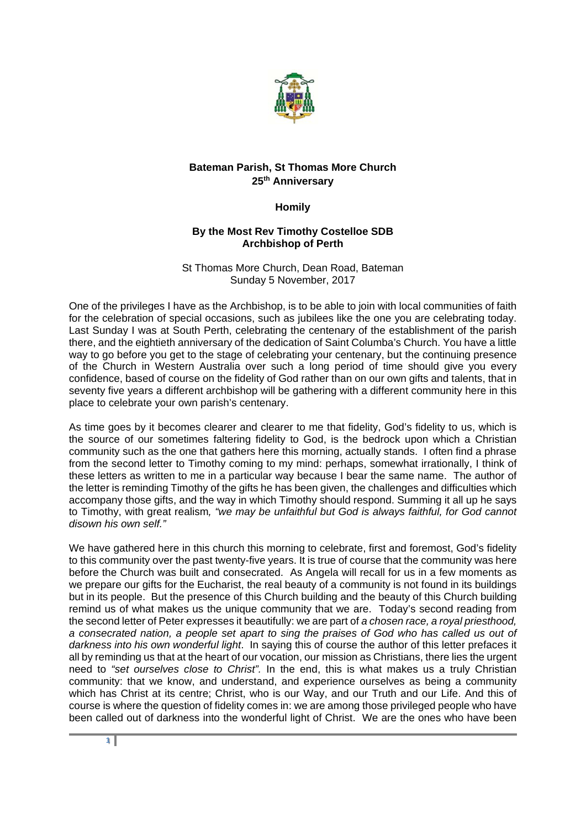

## **Bateman Parish, St Thomas More Church 25th Anniversary**

## **Homily**

## **By the Most Rev Timothy Costelloe SDB Archbishop of Perth**

## St Thomas More Church, Dean Road, Bateman Sunday 5 November, 2017

One of the privileges I have as the Archbishop, is to be able to join with local communities of faith for the celebration of special occasions, such as jubilees like the one you are celebrating today. Last Sunday I was at South Perth, celebrating the centenary of the establishment of the parish there, and the eightieth anniversary of the dedication of Saint Columba's Church. You have a little way to go before you get to the stage of celebrating your centenary, but the continuing presence of the Church in Western Australia over such a long period of time should give you every confidence, based of course on the fidelity of God rather than on our own gifts and talents, that in seventy five years a different archbishop will be gathering with a different community here in this place to celebrate your own parish's centenary.

As time goes by it becomes clearer and clearer to me that fidelity, God's fidelity to us, which is the source of our sometimes faltering fidelity to God, is the bedrock upon which a Christian community such as the one that gathers here this morning, actually stands. I often find a phrase from the second letter to Timothy coming to my mind: perhaps, somewhat irrationally, I think of these letters as written to me in a particular way because I bear the same name. The author of the letter is reminding Timothy of the gifts he has been given, the challenges and difficulties which accompany those gifts, and the way in which Timothy should respond. Summing it all up he says to Timothy, with great realism*, "we may be unfaithful but God is always faithful, for God cannot disown his own self."*

We have gathered here in this church this morning to celebrate, first and foremost, God's fidelity to this community over the past twenty-five years. It is true of course that the community was here before the Church was built and consecrated. As Angela will recall for us in a few moments as we prepare our gifts for the Eucharist, the real beauty of a community is not found in its buildings but in its people. But the presence of this Church building and the beauty of this Church building remind us of what makes us the unique community that we are. Today's second reading from the second letter of Peter expresses it beautifully: we are part of *a chosen race, a royal priesthood, a consecrated nation, a people set apart to sing the praises of God who has called us out of darkness into his own wonderful light*. In saying this of course the author of this letter prefaces it all by reminding us that at the heart of our vocation, our mission as Christians, there lies the urgent need to *"set ourselves close to Christ".* In the end, this is what makes us a truly Christian community: that we know, and understand, and experience ourselves as being a community which has Christ at its centre; Christ, who is our Way, and our Truth and our Life. And this of course is where the question of fidelity comes in: we are among those privileged people who have been called out of darkness into the wonderful light of Christ. We are the ones who have been